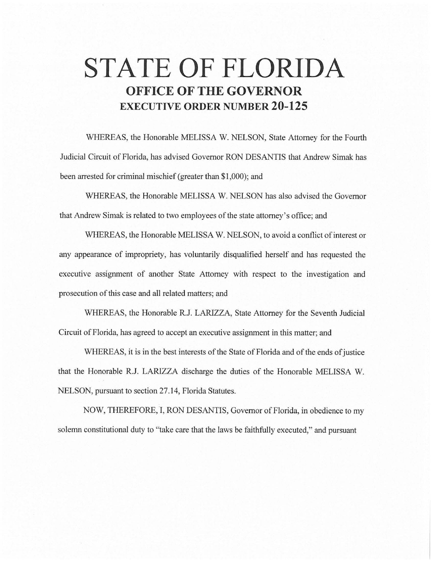## **STATE OF FLORIDA OFFICE OF THE GOVERNOR EXECUTIVE ORDER NUMBER 20-125**

WHEREAS, the Honorable MELISSA W. NELSON, State Attorney for the Fourth Judicial Circuit of Florida, has advised Governor RON DESANTIS that Andrew Simak has been arrested for criminal mischief (greater than \$1,000); and

WHEREAS, the Honorable MELISSA W. NELSON has also advised the Governor that Andrew Simak is related to two employees of the state attorney's office; and

WHEREAS, the Honorable MELISSA W. NELSON, to avoid a conflict of interest or any appearance of impropriety, has voluntarily disqualified herself and has requested the executive assignment of another State Attorney with respect to the investigation and prosecution of this case and all related matters; and

WHEREAS, the Honorable R.J. LARIZZA, State Attorney for the Seventh Judicial Circuit of Florida, has agreed to accept an executive assignment in this matter; and

WHEREAS, it is in the best interests of the State of Florida and of the ends of justice that the Honorable R.J. LARIZZA discharge the duties of the Honorable MELISSA W. NELSON, pursuant to section 27.14, Florida Statutes.

NOW, THEREFORE, I, RON DESANTIS, Governor of Florida, in obedience to my solemn constitutional duty to "take care that the laws be faithfully executed," and pursuant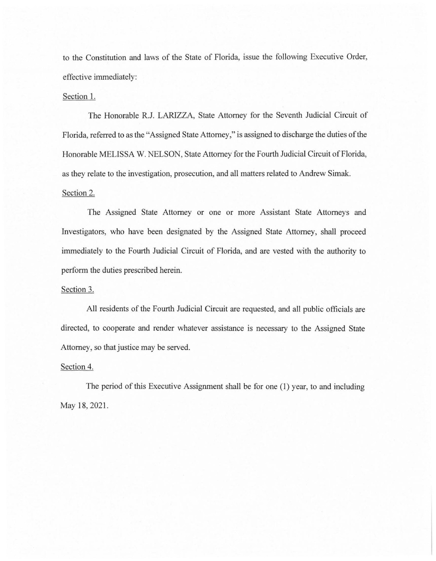to the Constitution and laws of the State of Florida, issue the following Executive Order, effective immediately:

## Section 1.

The Honorable R.J. LARIZZA, State Attorney for the Seventh Judicial Circuit of Florida, referred to as the "Assigned State Attorney," is assigned to discharge the duties of the Honorable MELISSA W. NELSON, State Attorney for the Fourth Judicial Circuit of Florida, as they relate to the investigation, prosecution, and all matters related to Andrew Simak. Section 2.

The Assigned State Attorney or one or more Assistant State Attorneys and Investigators, who have been designated by the Assigned State Attorney, shall proceed immediately to the Fourth Judicial Circuit of Florida, and are vested with the authority to perform the duties prescribed herein.

## Section 3.

All residents of the Fourth Judicial Circuit are requested, and all public officials are directed, to cooperate and render whatever assistance is necessary to the Assigned State Attorney, so that justice may be served.

## Section 4.

The period of this Executive Assignment shall be for one (1) year, to and including May 18, 2021.